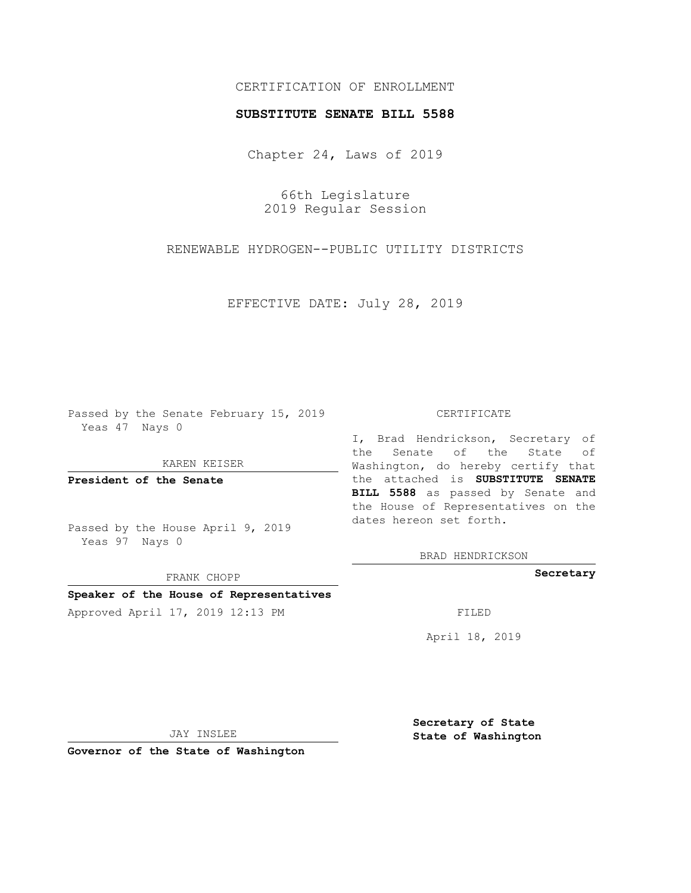# CERTIFICATION OF ENROLLMENT

### **SUBSTITUTE SENATE BILL 5588**

Chapter 24, Laws of 2019

66th Legislature 2019 Regular Session

RENEWABLE HYDROGEN--PUBLIC UTILITY DISTRICTS

EFFECTIVE DATE: July 28, 2019

Passed by the Senate February 15, 2019 Yeas 47 Nays 0

KAREN KEISER

**President of the Senate**

Passed by the House April 9, 2019 Yeas 97 Nays 0

FRANK CHOPP

## **Speaker of the House of Representatives**

Approved April 17, 2019 12:13 PM

#### CERTIFICATE

I, Brad Hendrickson, Secretary of the Senate of the State of Washington, do hereby certify that the attached is **SUBSTITUTE SENATE BILL 5588** as passed by Senate and the House of Representatives on the dates hereon set forth.

BRAD HENDRICKSON

**Secretary**

April 18, 2019

JAY INSLEE

**Governor of the State of Washington**

**Secretary of State State of Washington**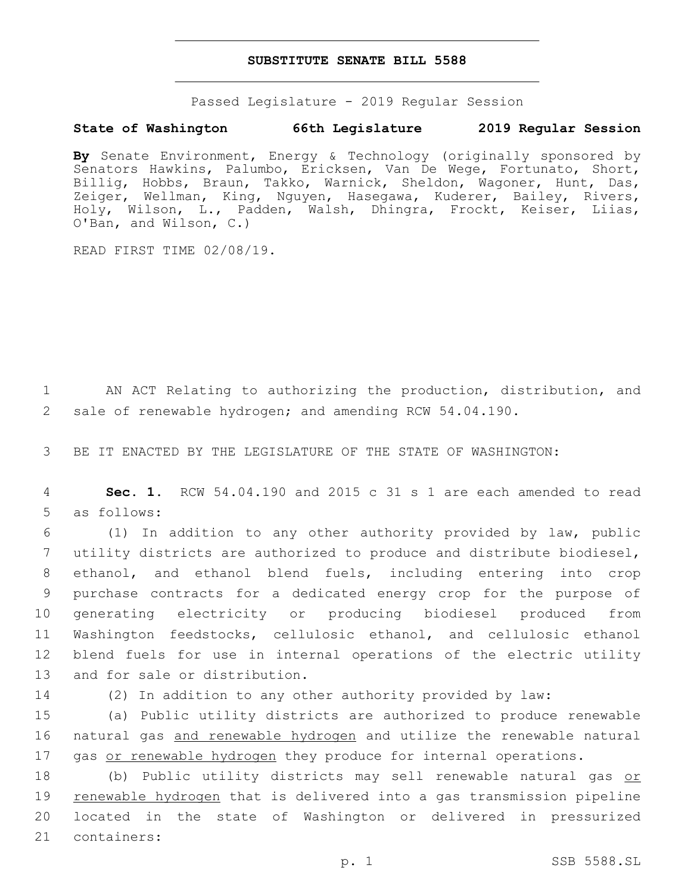### **SUBSTITUTE SENATE BILL 5588**

Passed Legislature - 2019 Regular Session

## **State of Washington 66th Legislature 2019 Regular Session**

**By** Senate Environment, Energy & Technology (originally sponsored by Senators Hawkins, Palumbo, Ericksen, Van De Wege, Fortunato, Short, Billig, Hobbs, Braun, Takko, Warnick, Sheldon, Wagoner, Hunt, Das, Zeiger, Wellman, King, Nguyen, Hasegawa, Kuderer, Bailey, Rivers, Holy, Wilson, L., Padden, Walsh, Dhingra, Frockt, Keiser, Liias, O'Ban, and Wilson, C.)

READ FIRST TIME 02/08/19.

1 AN ACT Relating to authorizing the production, distribution, and 2 sale of renewable hydrogen; and amending RCW 54.04.190.

3 BE IT ENACTED BY THE LEGISLATURE OF THE STATE OF WASHINGTON:

4 **Sec. 1.** RCW 54.04.190 and 2015 c 31 s 1 are each amended to read 5 as follows:

 (1) In addition to any other authority provided by law, public utility districts are authorized to produce and distribute biodiesel, ethanol, and ethanol blend fuels, including entering into crop purchase contracts for a dedicated energy crop for the purpose of generating electricity or producing biodiesel produced from Washington feedstocks, cellulosic ethanol, and cellulosic ethanol blend fuels for use in internal operations of the electric utility 13 and for sale or distribution.

14 (2) In addition to any other authority provided by law:

15 (a) Public utility districts are authorized to produce renewable 16 natural gas and renewable hydrogen and utilize the renewable natural 17 gas or renewable hydrogen they produce for internal operations.

18 (b) Public utility districts may sell renewable natural gas or 19 renewable hydrogen that is delivered into a gas transmission pipeline 20 located in the state of Washington or delivered in pressurized 21 containers: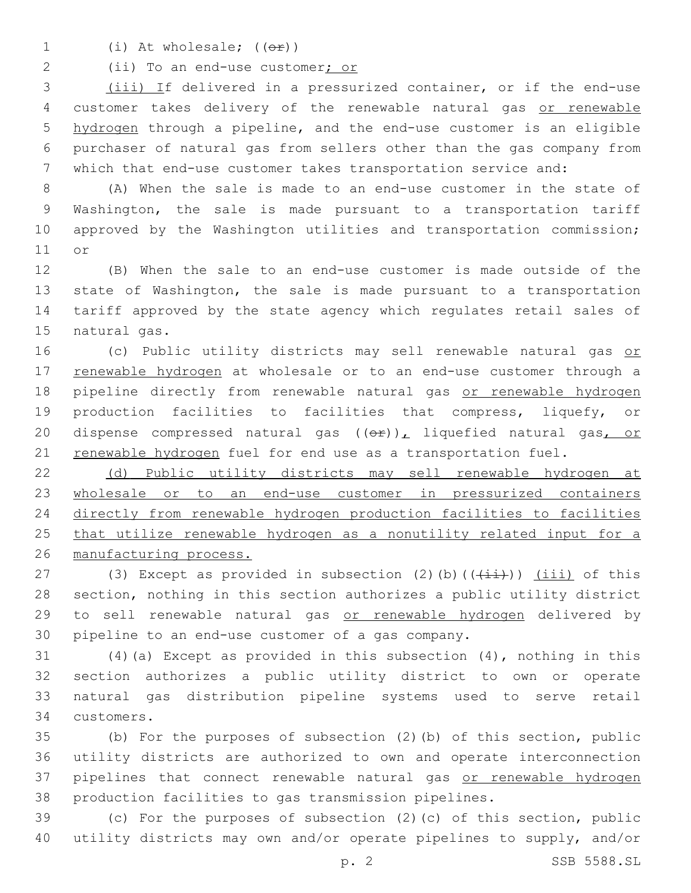1  $(i)$  At wholesale;  $((\theta \cdot \hat{r}))$ 

2 (ii) To an end-use customer; or

3 (iii) If delivered in a pressurized container, or if the end-use customer takes delivery of the renewable natural gas or renewable hydrogen through a pipeline, and the end-use customer is an eligible purchaser of natural gas from sellers other than the gas company from which that end-use customer takes transportation service and:

 (A) When the sale is made to an end-use customer in the state of Washington, the sale is made pursuant to a transportation tariff 10 approved by the Washington utilities and transportation commission; 11 or

 (B) When the sale to an end-use customer is made outside of the state of Washington, the sale is made pursuant to a transportation tariff approved by the state agency which regulates retail sales of 15 natural gas.

16 (c) Public utility districts may sell renewable natural gas or 17 renewable hydrogen at wholesale or to an end-use customer through a 18 pipeline directly from renewable natural gas or renewable hydrogen production facilities to facilities that compress, liquefy, or 20 dispense compressed natural gas  $((\theta \hat{r}))_L$  liquefied natural gas, or 21 renewable hydrogen fuel for end use as a transportation fuel.

 (d) Public utility districts may sell renewable hydrogen at wholesale or to an end-use customer in pressurized containers directly from renewable hydrogen production facilities to facilities that utilize renewable hydrogen as a nonutility related input for a manufacturing process.

27 (3) Except as provided in subsection (2)(b)( $(\frac{+i}{+i})$ ) (iii) of this section, nothing in this section authorizes a public utility district to sell renewable natural gas or renewable hydrogen delivered by 30 pipeline to an end-use customer of a gas company.

 (4)(a) Except as provided in this subsection (4), nothing in this section authorizes a public utility district to own or operate natural gas distribution pipeline systems used to serve retail customers.34

 (b) For the purposes of subsection (2)(b) of this section, public utility districts are authorized to own and operate interconnection 37 pipelines that connect renewable natural gas or renewable hydrogen production facilities to gas transmission pipelines.

 (c) For the purposes of subsection (2)(c) of this section, public utility districts may own and/or operate pipelines to supply, and/or

p. 2 SSB 5588.SL